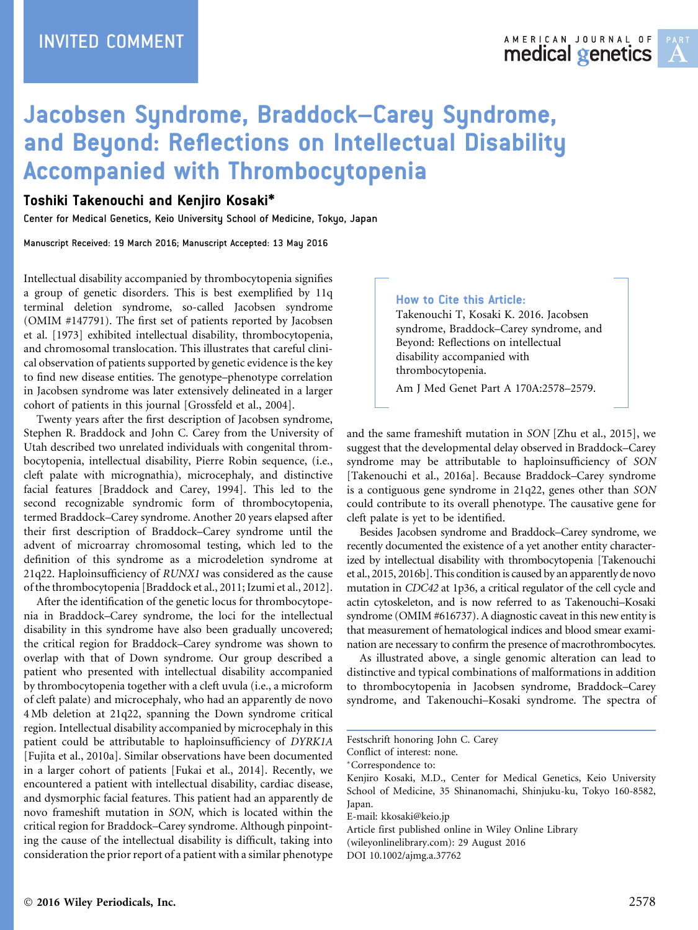# Jacobsen Syndrome, Braddock–Carey Syndrome, and Beyond: Reflections on Intellectual Disability Accompanied with Thrombocytopenia

# Toshiki Takenouchi and Kenjiro Kosaki\*

Center for Medical Genetics, Keio University School of Medicine, Tokyo, Japan

Manuscript Received: 19 March 2016; Manuscript Accepted: 13 May 2016

Intellectual disability accompanied by thrombocytopenia signifies a group of genetic disorders. This is best exemplified by 11q terminal deletion syndrome, so-called Jacobsen syndrome (OMIM #147791). The first set of patients reported by Jacobsen et al. [1973] exhibited intellectual disability, thrombocytopenia, and chromosomal translocation. This illustrates that careful clinical observation of patients supported by genetic evidence is the key to find new disease entities. The genotype–phenotype correlation in Jacobsen syndrome was later extensively delineated in a larger cohort of patients in this journal [Grossfeld et al., 2004].

Twenty years after the first description of Jacobsen syndrome, Stephen R. Braddock and John C. Carey from the University of Utah described two unrelated individuals with congenital thrombocytopenia, intellectual disability, Pierre Robin sequence, (i.e., cleft palate with micrognathia), microcephaly, and distinctive facial features [Braddock and Carey, 1994]. This led to the second recognizable syndromic form of thrombocytopenia, termed Braddock–Carey syndrome. Another 20 years elapsed after their first description of Braddock–Carey syndrome until the advent of microarray chromosomal testing, which led to the definition of this syndrome as a microdeletion syndrome at 21q22. Haploinsufficiency of RUNX1 was considered as the cause of the thrombocytopenia [Braddock et al., 2011; Izumi et al., 2012].

After the identification of the genetic locus for thrombocytopenia in Braddock–Carey syndrome, the loci for the intellectual disability in this syndrome have also been gradually uncovered; the critical region for Braddock–Carey syndrome was shown to overlap with that of Down syndrome. Our group described a patient who presented with intellectual disability accompanied by thrombocytopenia together with a cleft uvula (i.e., a microform of cleft palate) and microcephaly, who had an apparently de novo 4 Mb deletion at 21q22, spanning the Down syndrome critical region. Intellectual disability accompanied by microcephaly in this patient could be attributable to haploinsufficiency of DYRK1A [Fujita et al., 2010a]. Similar observations have been documented in a larger cohort of patients [Fukai et al., 2014]. Recently, we encountered a patient with intellectual disability, cardiac disease, and dysmorphic facial features. This patient had an apparently de novo frameshift mutation in SON, which is located within the critical region for Braddock–Carey syndrome. Although pinpointing the cause of the intellectual disability is difficult, taking into consideration the prior report of a patient with a similar phenotype

#### How to Cite this Article:

Takenouchi T, Kosaki K. 2016. Jacobsen syndrome, Braddock–Carey syndrome, and Beyond: Reflections on intellectual disability accompanied with thrombocytopenia.

Am J Med Genet Part A 170A:2578–2579.

and the same frameshift mutation in SON [Zhu et al., 2015], we suggest that the developmental delay observed in Braddock–Carey syndrome may be attributable to haploinsufficiency of SON [Takenouchi et al., 2016a]. Because Braddock–Carey syndrome is a contiguous gene syndrome in 21q22, genes other than SON could contribute to its overall phenotype. The causative gene for cleft palate is yet to be identified.

Besides Jacobsen syndrome and Braddock–Carey syndrome, we recently documented the existence of a yet another entity characterized by intellectual disability with thrombocytopenia [Takenouchi et al., 2015, 2016b]. This condition is caused by an apparently de novo mutation in CDC42 at 1p36, a critical regulator of the cell cycle and actin cytoskeleton, and is now referred to as Takenouchi–Kosaki syndrome (OMIM #616737). A diagnostic caveat in this new entity is that measurement of hematological indices and blood smear examination are necessary to confirm the presence of macrothrombocytes.

As illustrated above, a single genomic alteration can lead to distinctive and typical combinations of malformations in addition to thrombocytopenia in Jacobsen syndrome, Braddock–Carey syndrome, and Takenouchi–Kosaki syndrome. The spectra of

Correspondence to:

Article first published online in Wiley Online Library (wileyonlinelibrary.com): 29 August 2016

DOI 10.1002/ajmg.a.37762

Festschrift honoring John C. Carey

Conflict of interest: none.

Kenjiro Kosaki, M.D., Center for Medical Genetics, Keio University School of Medicine, 35 Shinanomachi, Shinjuku-ku, Tokyo 160-8582, Japan.

E-mail: kkosaki@keio.jp